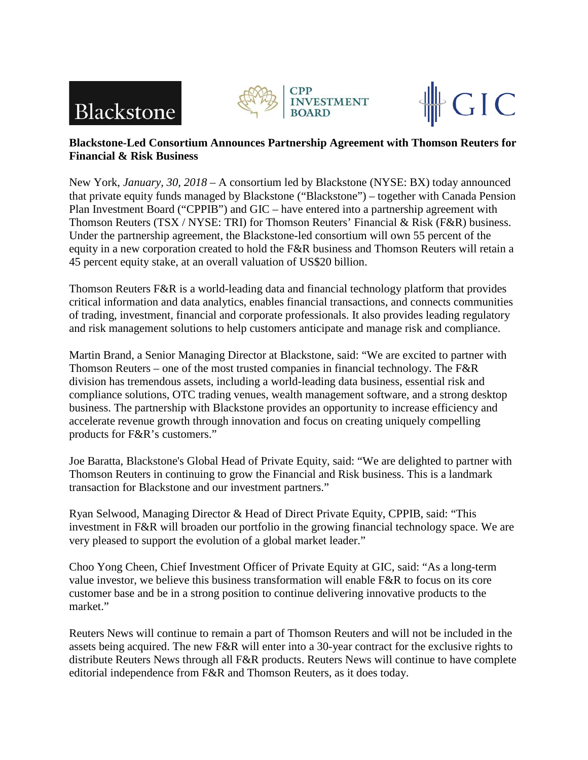





## **Blackstone-Led Consortium Announces Partnership Agreement with Thomson Reuters for Financial & Risk Business**

New York, *January, 30, 2018* – A consortium led by Blackstone (NYSE: BX) today announced that private equity funds managed by Blackstone ("Blackstone") – together with Canada Pension Plan Investment Board ("CPPIB") and GIC – have entered into a partnership agreement with Thomson Reuters (TSX / NYSE: TRI) for Thomson Reuters' Financial & Risk (F&R) business. Under the partnership agreement, the Blackstone-led consortium will own 55 percent of the equity in a new corporation created to hold the F&R business and Thomson Reuters will retain a 45 percent equity stake, at an overall valuation of US\$20 billion.

Thomson Reuters F&R is a world-leading data and financial technology platform that provides critical information and data analytics, enables financial transactions, and connects communities of trading, investment, financial and corporate professionals. It also provides leading regulatory and risk management solutions to help customers anticipate and manage risk and compliance.

Martin Brand, a Senior Managing Director at Blackstone, said: "We are excited to partner with Thomson Reuters – one of the most trusted companies in financial technology. The F&R division has tremendous assets, including a world-leading data business, essential risk and compliance solutions, OTC trading venues, wealth management software, and a strong desktop business. The partnership with Blackstone provides an opportunity to increase efficiency and accelerate revenue growth through innovation and focus on creating uniquely compelling products for F&R's customers."

Joe Baratta, Blackstone's Global Head of Private Equity, said: "We are delighted to partner with Thomson Reuters in continuing to grow the Financial and Risk business. This is a landmark transaction for Blackstone and our investment partners."

Ryan Selwood, Managing Director & Head of Direct Private Equity, CPPIB, said: "This investment in F&R will broaden our portfolio in the growing financial technology space. We are very pleased to support the evolution of a global market leader."

Choo Yong Cheen, Chief Investment Officer of Private Equity at GIC, said: "As a long-term value investor, we believe this business transformation will enable F&R to focus on its core customer base and be in a strong position to continue delivering innovative products to the market."

Reuters News will continue to remain a part of Thomson Reuters and will not be included in the assets being acquired. The new F&R will enter into a 30-year contract for the exclusive rights to distribute Reuters News through all F&R products. Reuters News will continue to have complete editorial independence from F&R and Thomson Reuters, as it does today.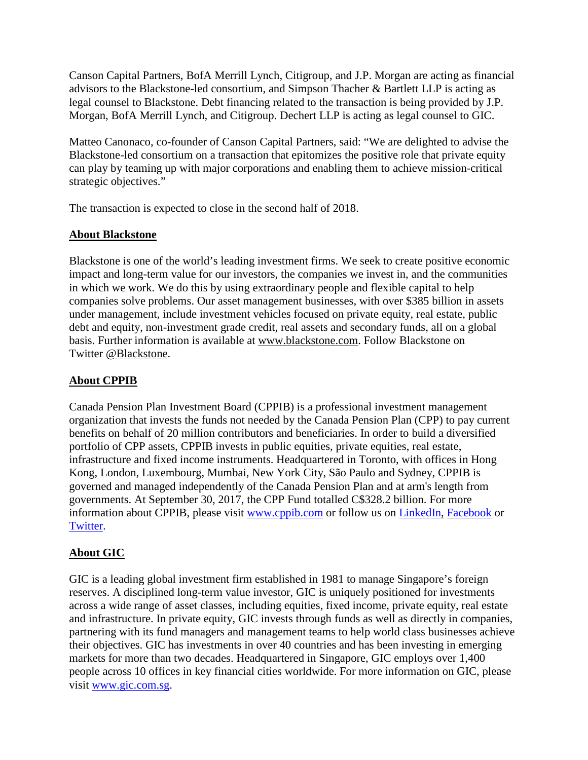Canson Capital Partners, BofA Merrill Lynch, Citigroup, and J.P. Morgan are acting as financial advisors to the Blackstone-led consortium, and Simpson Thacher & Bartlett LLP is acting as legal counsel to Blackstone. Debt financing related to the transaction is being provided by J.P. Morgan, BofA Merrill Lynch, and Citigroup. Dechert LLP is acting as legal counsel to GIC.

Matteo Canonaco, co-founder of Canson Capital Partners, said: "We are delighted to advise the Blackstone-led consortium on a transaction that epitomizes the positive role that private equity can play by teaming up with major corporations and enabling them to achieve mission-critical strategic objectives."

The transaction is expected to close in the second half of 2018.

## **About Blackstone**

Blackstone is one of the world's leading investment firms. We seek to create positive economic impact and long-term value for our investors, the companies we invest in, and the communities in which we work. We do this by using extraordinary people and flexible capital to help companies solve problems. Our asset management businesses, with over \$385 billion in assets under management, include investment vehicles focused on private equity, real estate, public debt and equity, non-investment grade credit, real assets and secondary funds, all on a global basis. Further information is available at [www.blackstone.com.](http://www.blackstone.com/) Follow Blackstone on Twitter [@Blackstone.](https://twitter.com/blackstone)

# **About CPPIB**

Canada Pension Plan Investment Board (CPPIB) is a professional investment management organization that invests the funds not needed by the Canada Pension Plan (CPP) to pay current benefits on behalf of 20 million contributors and beneficiaries. In order to build a diversified portfolio of CPP assets, CPPIB invests in public equities, private equities, real estate, infrastructure and fixed income instruments. Headquartered in Toronto, with offices in Hong Kong, London, Luxembourg, Mumbai, New York City, São Paulo and Sydney, CPPIB is governed and managed independently of the Canada Pension Plan and at arm's length from governments. At September 30, 2017, the CPP Fund totalled C\$328.2 billion. For more information about CPPIB, please visit [www.cppib.com](http://www.cppib.com/) or follow us on [LinkedIn,](https://www.linkedin.com/company/cpp-investment-board?trk=hb_tab_compy_id_23230) [Facebook](https://www.facebook.com/cppib) or [Twitter.](https://twitter.com/cppib)

# **About GIC**

GIC is a leading global investment firm established in 1981 to manage Singapore's foreign reserves. A disciplined long-term value investor, GIC is uniquely positioned for investments across a wide range of asset classes, including equities, fixed income, private equity, real estate and infrastructure. In private equity, GIC invests through funds as well as directly in companies, partnering with its fund managers and management teams to help world class businesses achieve their objectives. GIC has investments in over 40 countries and has been investing in emerging markets for more than two decades. Headquartered in Singapore, GIC employs over 1,400 people across 10 offices in key financial cities worldwide. For more information on GIC, please visit [www.gic.com.sg.](https://www.bx.com/f5-w-68747470733a2f2f766165786361737030312e626c61636b73746f6e652e636f6d$$/owa/14.3.319.2/scripts/premium/redir.aspx?C=PDX-S4S8HItKxhymp4ZGwz-B_vAsDCjdVEwAzUfbVjogtIyZU2bVCA..&URL=http%3a%2f%2fwww.gic.com.sg)